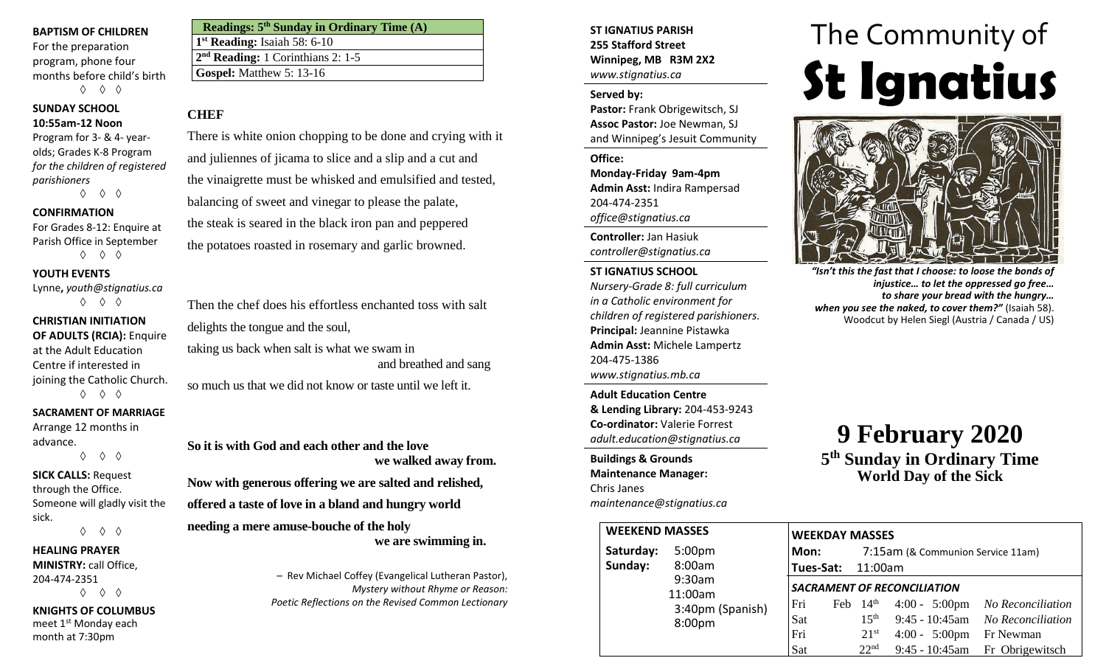### **BAPTISM OF CHILDREN**

For the preparation program, phone four months before child's birth ◊ ◊ ◊

## **SUNDAY SCHOOL 10:55am-12 Noon**

Program for 3- & 4- yearolds; Grades K-8 Program *for the children of registered parishioners*

◊ ◊ ◊

## **CONFIRMATION**

For Grades 8-12: Enquire at Parish Office in September ◊ ◊ ◊

## **YOUTH EVENTS**

Lynne**,** *youth@stignatius.ca* ◊ ◊ ◊

## **CHRISTIAN INITIATION**

**OF ADULTS (RCIA):** Enquire at the Adult Education Centre if interested in

joining the Catholic Church. ◊ ◊ ◊

## **SACRAMENT OF MARRIAGE**

Arrange 12 months in advance. ◊ ◊ ◊

# **SICK CALLS:** Request

through the Office. Someone will gladly visit the sick. ◊ ◊ ◊

## **HEALING PRAYER**

**MINISTRY:** call Office, 204-474-2351 ◊ ◊ ◊

## **KNIGHTS OF COLUMBUS**

meet 1st Monday each month at 7:30pm

| Readings: 5 <sup>th</sup> Sunday in Ordinary Time (A) |
|-------------------------------------------------------|
| $1st$ Reading: Isaiah 58: 6-10                        |
| 2 <sup>nd</sup> Reading: 1 Corinthians 2: 1-5         |
| Gospel: Matthew $5:13-16$                             |

## **CHEF**

There is white onion chopping to be done and crying with it and juliennes of jicama to slice and a slip and a cut and the vinaigrette must be whisked and emulsified and tested, balancing of sweet and vinegar to please the palate, the steak is seared in the black iron pan and peppered the potatoes roasted in rosemary and garlic browned.

Then the chef does his effortless enchanted toss with salt delights the tongue and the soul, taking us back when salt is what we swam in and breathed and sang

so much us that we did not know or taste until we left it.

**So it is with God and each other and the love we walked away from.**

**Now with generous offering we are salted and relished, offered a taste of love in a bland and hungry world**

**needing a mere amuse-bouche of the holy we are swimming in.**

> – Rev Michael Coffey (Evangelical Lutheran Pastor), *Mystery without Rhyme or Reason: Poetic Reflections on the Revised Common Lectionary*

## **ST IGNATIUS PARISH 255 Stafford Street Winnipeg, MB R3M 2X2** *www.stignatius.ca*

## **Served by:**

**Pastor:** Frank Obrigewitsch, SJ **Assoc Pastor:** Joe Newman, SJ and Winnipeg's Jesuit Community

**Office: Monday-Friday 9am-4pm Admin Asst:** Indira Rampersad 204-474-2351 *office@stignatius.ca*

**Controller:** Jan Hasiuk *controller@stignatius.ca*

## **ST IGNATIUS SCHOOL**

*Nursery-Grade 8: full curriculum in a Catholic environment for children of registered parishioners.* **Principal:** Jeannine Pistawka **Admin Asst:** Michele Lampertz 204-475-1386 *www.stignatius.mb.ca*

**Adult Education Centre & Lending Library:** 204-453-9243 **Co-ordinator:** Valerie Forrest *adult.education@stignatius.ca*

**Buildings & Grounds Maintenance Manager:**  Chris Janes *maintenance@stignatius.ca*

# **St Ignatius St Ignatius** The Community of



*"Isn't this the fast that I choose: to loose the bonds of injustice… to let the oppressed go free… to share your bread with the hungry… when you see the naked, to cover them?"* (Isaiah 58). Woodcut by Helen Siegl (Austria / Canada / US)

# **9 February 2020 5 th Sunday in Ordinary Time**

**World Day of the Sick**

| <b>WEEKEND MASSES</b> |                                                             | <b>WEEKDAY MASSES</b>     |                                                                 |                                                               |                                                                                                                    |
|-----------------------|-------------------------------------------------------------|---------------------------|-----------------------------------------------------------------|---------------------------------------------------------------|--------------------------------------------------------------------------------------------------------------------|
| Saturday:<br>Sunday:  | 5:00 <sub>pm</sub><br>8:00am                                | Mon:<br>Tues-Sat: 11:00am | 7:15am (& Communion Service 11am)                               |                                                               |                                                                                                                    |
|                       | 9:30am<br>11:00am<br>3:40pm (Spanish)<br>8:00 <sub>pm</sub> | Fri<br>Sat<br>Fri<br>Sat  | Feb $14th$<br>$15^{\text{th}}$<br>$21^{st}$<br>22 <sup>nd</sup> | <b>SACRAMENT OF RECONCILIATION</b><br>$4:00 - 5:00 \text{pm}$ | 4:00 - 5:00pm No Reconciliation<br>9:45 - 10:45am No Reconciliation<br>Fr Newman<br>9:45 - 10:45am Fr Obrigewitsch |